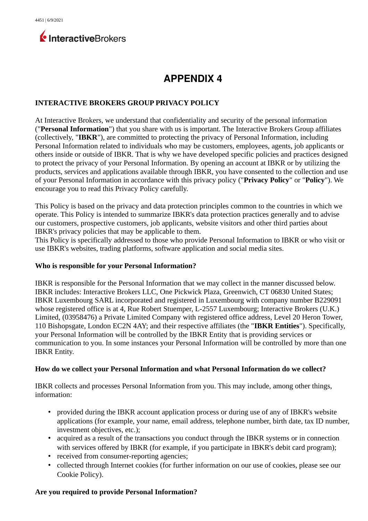

# **APPENDIX 4**

#### **INTERACTIVE BROKERS GROUP PRIVACY POLICY**

At Interactive Brokers, we understand that confidentiality and security of the personal information ("**Personal Information**") that you share with us is important. The Interactive Brokers Group affiliates (collectively, "**IBKR**"), are committed to protecting the privacy of Personal Information, including Personal Information related to individuals who may be customers, employees, agents, job applicants or others inside or outside of IBKR. That is why we have developed specific policies and practices designed to protect the privacy of your Personal Information. By opening an account at IBKR or by utilizing the products, services and applications available through IBKR, you have consented to the collection and use of your Personal Information in accordance with this privacy policy ("**Privacy Policy**" or "**Policy**"). We encourage you to read this Privacy Policy carefully.

This Policy is based on the privacy and data protection principles common to the countries in which we operate. This Policy is intended to summarize IBKR's data protection practices generally and to advise our customers, prospective customers, job applicants, website visitors and other third parties about IBKR's privacy policies that may be applicable to them.

This Policy is specifically addressed to those who provide Personal Information to IBKR or who visit or use IBKR's websites, trading platforms, software application and social media sites.

#### **Who is responsible for your Personal Information?**

IBKR is responsible for the Personal Information that we may collect in the manner discussed below. IBKR includes: Interactive Brokers LLC, One Pickwick Plaza, Greenwich, CT 06830 United States; IBKR Luxembourg SARL incorporated and registered in Luxembourg with company number B229091 whose registered office is at 4, Rue Robert Stuemper, L-2557 Luxembourg; Interactive Brokers (U.K.) Limited, (03958476) a Private Limited Company with registered office address, Level 20 Heron Tower, 110 Bishopsgate, London EC2N 4AY; and their respective affiliates (the "**IBKR Entities**"). Specifically, your Personal Information will be controlled by the IBKR Entity that is providing services or communication to you. In some instances your Personal Information will be controlled by more than one IBKR Entity.

#### **How do we collect your Personal Information and what Personal Information do we collect?**

IBKR collects and processes Personal Information from you. This may include, among other things, information:

- provided during the IBKR account application process or during use of any of IBKR's website applications (for example, your name, email address, telephone number, birth date, tax ID number, investment objectives, etc.);
- acquired as a result of the transactions you conduct through the IBKR systems or in connection with services offered by IBKR (for example, if you participate in IBKR's debit card program);
- received from consumer-reporting agencies;
- collected through Internet cookies (for further information on our use of cookies, please see our Cookie Policy).

#### **Are you required to provide Personal Information?**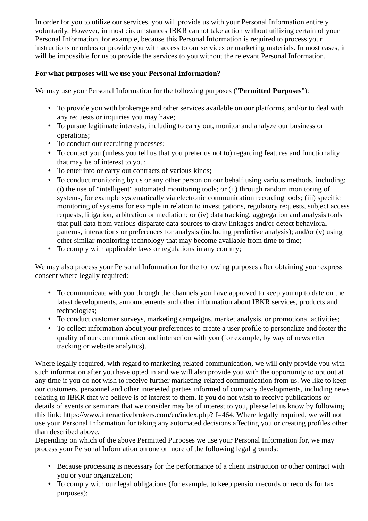In order for you to utilize our services, you will provide us with your Personal Information entirely voluntarily. However, in most circumstances IBKR cannot take action without utilizing certain of your Personal Information, for example, because this Personal Information is required to process your instructions or orders or provide you with access to our services or marketing materials. In most cases, it will be impossible for us to provide the services to you without the relevant Personal Information.

# **For what purposes will we use your Personal Information?**

We may use your Personal Information for the following purposes ("**Permitted Purposes**"):

- To provide you with brokerage and other services available on our platforms, and/or to deal with any requests or inquiries you may have;
- To pursue legitimate interests, including to carry out, monitor and analyze our business or operations;
- To conduct our recruiting processes;
- To contact you (unless you tell us that you prefer us not to) regarding features and functionality that may be of interest to you;
- To enter into or carry out contracts of various kinds;
- To conduct monitoring by us or any other person on our behalf using various methods, including: (i) the use of "intelligent" automated monitoring tools; or (ii) through random monitoring of systems, for example systematically via electronic communication recording tools; (iii) specific monitoring of systems for example in relation to investigations, regulatory requests, subject access requests, litigation, arbitration or mediation; or (iv) data tracking, aggregation and analysis tools that pull data from various disparate data sources to draw linkages and/or detect behavioral patterns, interactions or preferences for analysis (including predictive analysis); and/or (v) using other similar monitoring technology that may become available from time to time;
- To comply with applicable laws or regulations in any country;

We may also process your Personal Information for the following purposes after obtaining your express consent where legally required:

- To communicate with you through the channels you have approved to keep you up to date on the latest developments, announcements and other information about IBKR services, products and technologies;
- To conduct customer surveys, marketing campaigns, market analysis, or promotional activities;
- To collect information about your preferences to create a user profile to personalize and foster the quality of our communication and interaction with you (for example, by way of newsletter tracking or website analytics).

Where legally required, with regard to marketing-related communication, we will only provide you with such information after you have opted in and we will also provide you with the opportunity to opt out at any time if you do not wish to receive further marketing-related communication from us. We like to keep our customers, personnel and other interested parties informed of company developments, including news relating to IBKR that we believe is of interest to them. If you do not wish to receive publications or details of events or seminars that we consider may be of interest to you, please let us know by following this link: https://www.interactivebrokers.com/en/index.php? f=464. Where legally required, we will not use your Personal Information for taking any automated decisions affecting you or creating profiles other than described above.

Depending on which of the above Permitted Purposes we use your Personal Information for, we may process your Personal Information on one or more of the following legal grounds:

- Because processing is necessary for the performance of a client instruction or other contract with you or your organization;
- To comply with our legal obligations (for example, to keep pension records or records for tax purposes);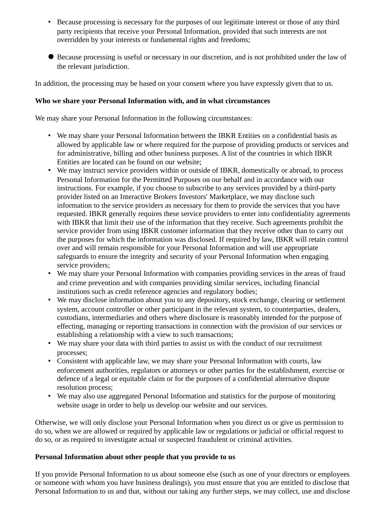- Because processing is necessary for the purposes of our legitimate interest or those of any third party recipients that receive your Personal Information, provided that such interests are not overridden by your interests or fundamental rights and freedoms;
- Because processing is useful or necessary in our discretion, and is not prohibited under the law of the relevant jurisdiction.

In addition, the processing may be based on your consent where you have expressly given that to us.

## **Who we share your Personal Information with, and in what circumstances**

We may share your Personal Information in the following circumstances:

- We may share your Personal Information between the IBKR Entities on a confidential basis as allowed by applicable law or where required for the purpose of providing products or services and for administrative, billing and other business purposes. A list of the countries in which IBKR Entities are located can be found on our website;
- We may instruct service providers within or outside of IBKR, domestically or abroad, to process Personal Information for the Permitted Purposes on our behalf and in accordance with our instructions. For example, if you choose to subscribe to any services provided by a third-party provider listed on an Interactive Brokers Investors' Marketplace, we may disclose such information to the service providers as necessary for them to provide the services that you have requested. IBKR generally requires these service providers to enter into confidentiality agreements with IBKR that limit their use of the information that they receive. Such agreements prohibit the service provider from using IBKR customer information that they receive other than to carry out the purposes for which the information was disclosed. If required by law, IBKR will retain control over and will remain responsible for your Personal Information and will use appropriate safeguards to ensure the integrity and security of your Personal Information when engaging service providers;
- We may share your Personal Information with companies providing services in the areas of fraud and crime prevention and with companies providing similar services, including financial institutions such as credit reference agencies and regulatory bodies;
- We may disclose information about you to any depository, stock exchange, clearing or settlement system, account controller or other participant in the relevant system, to counterparties, dealers, custodians, intermediaries and others where disclosure is reasonably intended for the purpose of effecting, managing or reporting transactions in connection with the provision of our services or establishing a relationship with a view to such transactions;
- We may share your data with third parties to assist us with the conduct of our recruitment processes;
- Consistent with applicable law, we may share your Personal Information with courts, law enforcement authorities, regulators or attorneys or other parties for the establishment, exercise or defence of a legal or equitable claim or for the purposes of a confidential alternative dispute resolution process;
- We may also use aggregated Personal Information and statistics for the purpose of monitoring website usage in order to help us develop our website and our services.

Otherwise, we will only disclose your Personal Information when you direct us or give us permission to do so, when we are allowed or required by applicable law or regulations or judicial or official request to do so, or as required to investigate actual or suspected fraudulent or criminal activities.

## **Personal Information about other people that you provide to us**

If you provide Personal Information to us about someone else (such as one of your directors or employees or someone with whom you have business dealings), you must ensure that you are entitled to disclose that Personal Information to us and that, without our taking any further steps, we may collect, use and disclose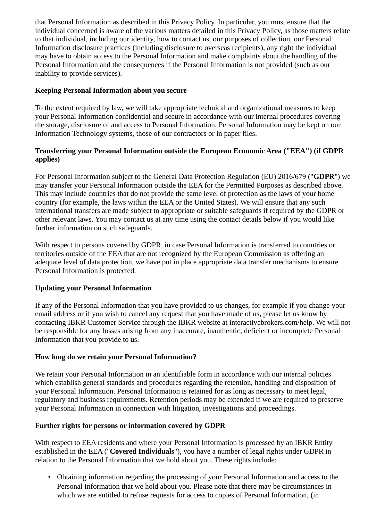that Personal Information as described in this Privacy Policy. In particular, you must ensure that the individual concerned is aware of the various matters detailed in this Privacy Policy, as those matters relate to that individual, including our identity, how to contact us, our purposes of collection, our Personal Information disclosure practices (including disclosure to overseas recipients), any right the individual may have to obtain access to the Personal Information and make complaints about the handling of the Personal Information and the consequences if the Personal Information is not provided (such as our inability to provide services).

# **Keeping Personal Information about you secure**

To the extent required by law, we will take appropriate technical and organizational measures to keep your Personal Information confidential and secure in accordance with our internal procedures covering the storage, disclosure of and access to Personal Information. Personal Information may be kept on our Information Technology systems, those of our contractors or in paper files.

# **Transferring your Personal Information outside the European Economic Area ("EEA") (if GDPR applies)**

For Personal Information subject to the General Data Protection Regulation (EU) 2016/679 ("**GDPR**") we may transfer your Personal Information outside the EEA for the Permitted Purposes as described above. This may include countries that do not provide the same level of protection as the laws of your home country (for example, the laws within the EEA or the United States). We will ensure that any such international transfers are made subject to appropriate or suitable safeguards if required by the GDPR or other relevant laws. You may contact us at any time using the contact details below if you would like further information on such safeguards.

With respect to persons covered by GDPR, in case Personal Information is transferred to countries or territories outside of the EEA that are not recognized by the European Commission as offering an adequate level of data protection, we have put in place appropriate data transfer mechanisms to ensure Personal Information is protected.

## **Updating your Personal Information**

If any of the Personal Information that you have provided to us changes, for example if you change your email address or if you wish to cancel any request that you have made of us, please let us know by contacting IBKR Customer Service through the IBKR website at interactivebrokers.com/help. We will not be responsible for any losses arising from any inaccurate, inauthentic, deficient or incomplete Personal Information that you provide to us.

## **How long do we retain your Personal Information?**

We retain your Personal Information in an identifiable form in accordance with our internal policies which establish general standards and procedures regarding the retention, handling and disposition of your Personal Information. Personal Information is retained for as long as necessary to meet legal, regulatory and business requirements. Retention periods may be extended if we are required to preserve your Personal Information in connection with litigation, investigations and proceedings.

# **Further rights for persons or information covered by GDPR**

With respect to EEA residents and where your Personal Information is processed by an IBKR Entity established in the EEA ("**Covered Individuals**"), you have a number of legal rights under GDPR in relation to the Personal Information that we hold about you. These rights include:

• Obtaining information regarding the processing of your Personal Information and access to the Personal Information that we hold about you. Please note that there may be circumstances in which we are entitled to refuse requests for access to copies of Personal Information, (in